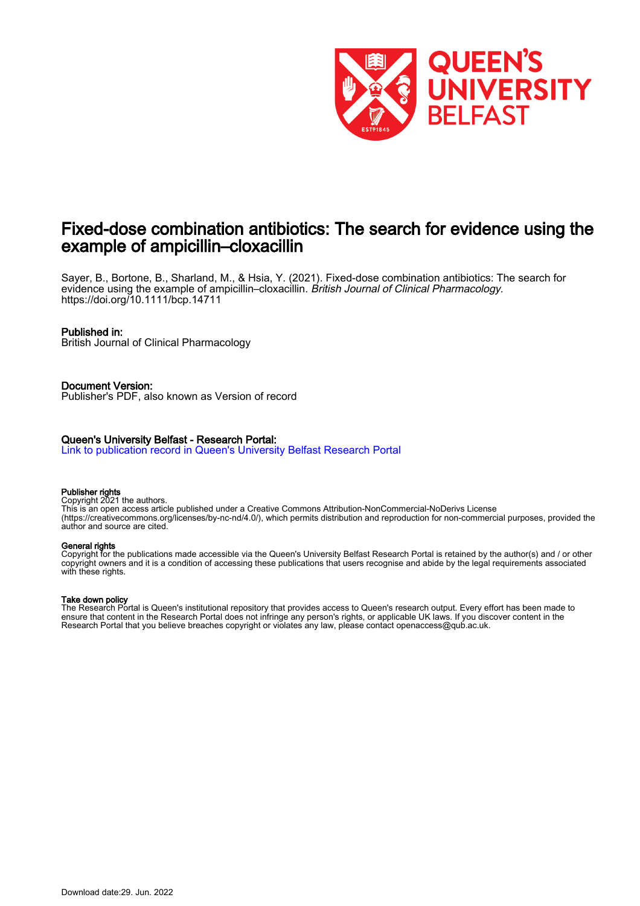

# Fixed-dose combination antibiotics: The search for evidence using the example of ampicillin–cloxacillin

Sayer, B., Bortone, B., Sharland, M., & Hsia, Y. (2021). Fixed-dose combination antibiotics: The search for evidence using the example of ampicillin–cloxacillin. British Journal of Clinical Pharmacology. <https://doi.org/10.1111/bcp.14711>

#### Published in:

British Journal of Clinical Pharmacology

# Document Version:

Publisher's PDF, also known as Version of record

## Queen's University Belfast - Research Portal:

[Link to publication record in Queen's University Belfast Research Portal](https://pure.qub.ac.uk/en/publications/bbb351eb-31b8-4d13-b1d1-aa63d1610c9b)

#### Publisher rights

Copyright 2021 the authors.

This is an open access article published under a Creative Commons Attribution-NonCommercial-NoDerivs License (https://creativecommons.org/licenses/by-nc-nd/4.0/), which permits distribution and reproduction for non-commercial purposes, provided the author and source are cited.

#### General rights

Copyright for the publications made accessible via the Queen's University Belfast Research Portal is retained by the author(s) and / or other copyright owners and it is a condition of accessing these publications that users recognise and abide by the legal requirements associated with these rights.

#### Take down policy

The Research Portal is Queen's institutional repository that provides access to Queen's research output. Every effort has been made to ensure that content in the Research Portal does not infringe any person's rights, or applicable UK laws. If you discover content in the Research Portal that you believe breaches copyright or violates any law, please contact openaccess@qub.ac.uk.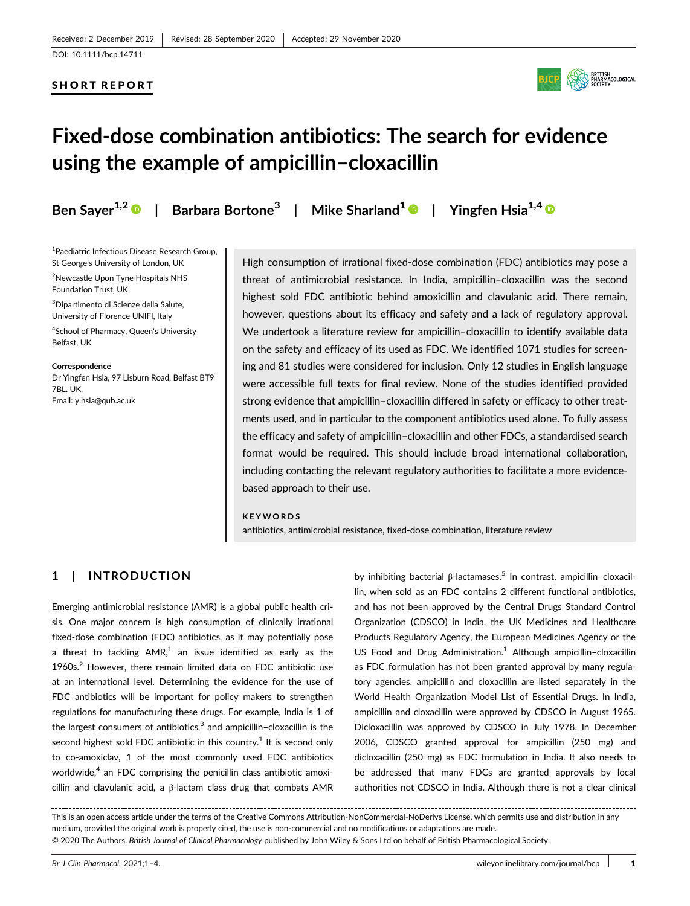## SHORT REPORT



# Fixed-dose combination antibiotics: The search for evidence using the example of ampicillin–cloxacillin

Ben Sayer<sup>1,2</sup>  $\bullet$  | Barbara Bortone<sup>3</sup> | Mike Sharland<sup>1</sup>  $\bullet$  | Yingfen Hsia<sup>1,4</sup>  $\bullet$ 

1 Paediatric Infectious Disease Research Group, St George's University of London, UK

2 Newcastle Upon Tyne Hospitals NHS Foundation Trust, UK

3 Dipartimento di Scienze della Salute, University of Florence UNIFI, Italy

4 School of Pharmacy, Queen's University Belfast, UK

**Correspondence** Dr Yingfen Hsia, 97 Lisburn Road, Belfast BT9 7BL. UK. Email: [y.hsia@qub.ac.uk](mailto:y.hsia@qub.ac.uk)

High consumption of irrational fixed-dose combination (FDC) antibiotics may pose a threat of antimicrobial resistance. In India, ampicillin–cloxacillin was the second highest sold FDC antibiotic behind amoxicillin and clavulanic acid. There remain, however, questions about its efficacy and safety and a lack of regulatory approval. We undertook a literature review for ampicillin–cloxacillin to identify available data on the safety and efficacy of its used as FDC. We identified 1071 studies for screening and 81 studies were considered for inclusion. Only 12 studies in English language were accessible full texts for final review. None of the studies identified provided strong evidence that ampicillin–cloxacillin differed in safety or efficacy to other treatments used, and in particular to the component antibiotics used alone. To fully assess the efficacy and safety of ampicillin–cloxacillin and other FDCs, a standardised search format would be required. This should include broad international collaboration, including contacting the relevant regulatory authorities to facilitate a more evidencebased approach to their use.

#### KEYWORDS

antibiotics, antimicrobial resistance, fixed-dose combination, literature review

# 1 | INTRODUCTION

Emerging antimicrobial resistance (AMR) is a global public health crisis. One major concern is high consumption of clinically irrational fixed-dose combination (FDC) antibiotics, as it may potentially pose a threat to tackling  $AMR<sup>1</sup>$  an issue identified as early as the 1960s.2 However, there remain limited data on FDC antibiotic use at an international level. Determining the evidence for the use of FDC antibiotics will be important for policy makers to strengthen regulations for manufacturing these drugs. For example, India is 1 of the largest consumers of antibiotics, $3$  and ampicillin-cloxacillin is the second highest sold FDC antibiotic in this country.<sup>1</sup> It is second only to co-amoxiclav, 1 of the most commonly used FDC antibiotics worldwide,<sup>4</sup> an FDC comprising the penicillin class antibiotic amoxicillin and clavulanic acid, a β-lactam class drug that combats AMR

by inhibiting bacterial β-lactamases.<sup>5</sup> In contrast, ampicillin-cloxacillin, when sold as an FDC contains 2 different functional antibiotics, and has not been approved by the Central Drugs Standard Control Organization (CDSCO) in India, the UK Medicines and Healthcare Products Regulatory Agency, the European Medicines Agency or the US Food and Drug Administration.<sup>1</sup> Although ampicillin-cloxacillin as FDC formulation has not been granted approval by many regulatory agencies, ampicillin and cloxacillin are listed separately in the World Health Organization Model List of Essential Drugs. In India, ampicillin and cloxacillin were approved by CDSCO in August 1965. Dicloxacillin was approved by CDSCO in July 1978. In December 2006, CDSCO granted approval for ampicillin (250 mg) and dicloxacillin (250 mg) as FDC formulation in India. It also needs to be addressed that many FDCs are granted approvals by local authorities not CDSCO in India. Although there is not a clear clinical

This is an open access article under the terms of the [Creative Commons Attribution-NonCommercial-NoDerivs](http://creativecommons.org/licenses/by-nc-nd/4.0/) License, which permits use and distribution in any medium, provided the original work is properly cited, the use is non-commercial and no modifications or adaptations are made. © 2020 The Authors. British Journal of Clinical Pharmacology published by John Wiley & Sons Ltd on behalf of British Pharmacological Society.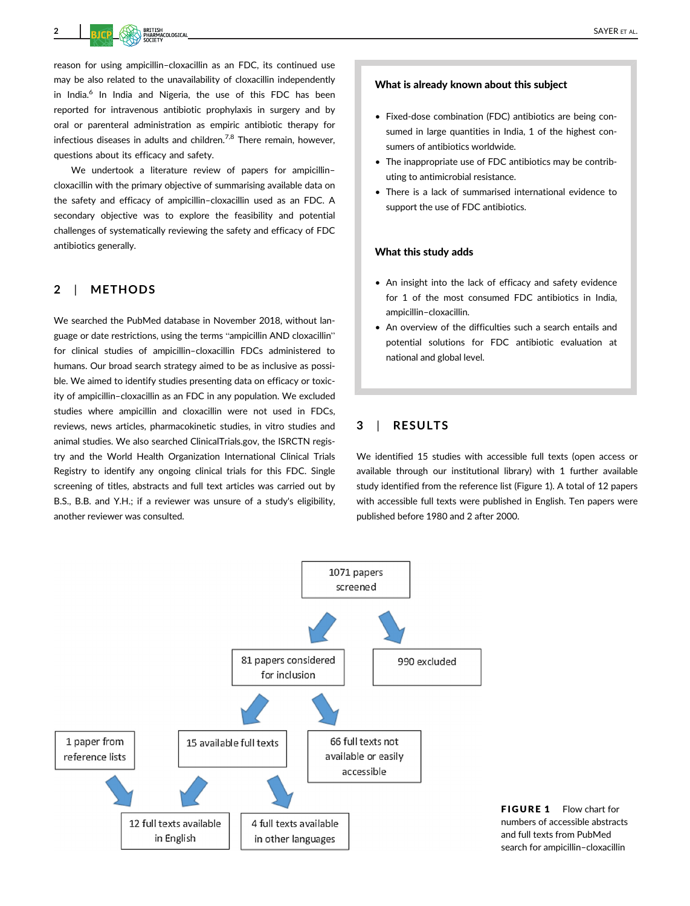reason for using ampicillin–cloxacillin as an FDC, its continued use may be also related to the unavailability of cloxacillin independently in India.<sup>6</sup> In India and Nigeria, the use of this FDC has been reported for intravenous antibiotic prophylaxis in surgery and by oral or parenteral administration as empiric antibiotic therapy for infectious diseases in adults and children.<sup>7,8</sup> There remain, however, questions about its efficacy and safety.

We undertook a literature review of papers for ampicillin– cloxacillin with the primary objective of summarising available data on the safety and efficacy of ampicillin–cloxacillin used as an FDC. A secondary objective was to explore the feasibility and potential challenges of systematically reviewing the safety and efficacy of FDC antibiotics generally.

# 2 | METHODS

We searched the PubMed database in November 2018, without language or date restrictions, using the terms "ampicillin AND cloxacillin" for clinical studies of ampicillin–cloxacillin FDCs administered to humans. Our broad search strategy aimed to be as inclusive as possible. We aimed to identify studies presenting data on efficacy or toxicity of ampicillin–cloxacillin as an FDC in any population. We excluded studies where ampicillin and cloxacillin were not used in FDCs, reviews, news articles, pharmacokinetic studies, in vitro studies and animal studies. We also searched [ClinicalTrials.gov](http://ClinicalTrials.gov), the ISRCTN registry and the World Health Organization International Clinical Trials Registry to identify any ongoing clinical trials for this FDC. Single screening of titles, abstracts and full text articles was carried out by B.S., B.B. and Y.H.; if a reviewer was unsure of a study's eligibility, another reviewer was consulted.

#### What is already known about this subject

- Fixed-dose combination (FDC) antibiotics are being consumed in large quantities in India, 1 of the highest consumers of antibiotics worldwide.
- The inappropriate use of FDC antibiotics may be contributing to antimicrobial resistance.
- There is a lack of summarised international evidence to support the use of FDC antibiotics.

#### What this study adds

- An insight into the lack of efficacy and safety evidence for 1 of the most consumed FDC antibiotics in India, ampicillin–cloxacillin.
- An overview of the difficulties such a search entails and potential solutions for FDC antibiotic evaluation at national and global level.

#### 3 | RESULTS

We identified 15 studies with accessible full texts (open access or available through our institutional library) with 1 further available study identified from the reference list (Figure 1). A total of 12 papers with accessible full texts were published in English. Ten papers were published before 1980 and 2 after 2000.



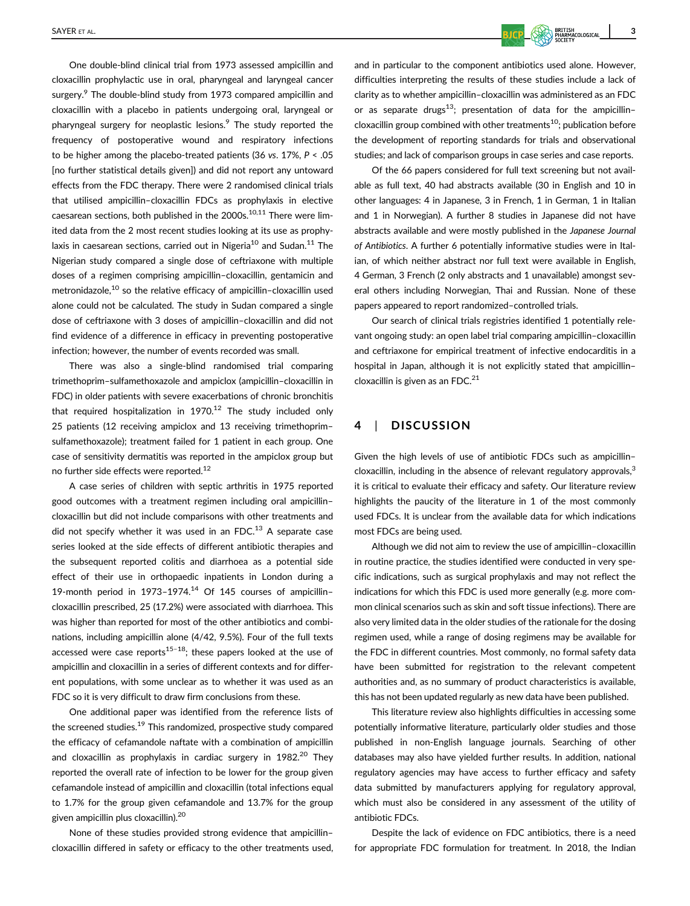One double-blind clinical trial from 1973 assessed ampicillin and cloxacillin prophylactic use in oral, pharyngeal and laryngeal cancer surgery.<sup>9</sup> The double-blind study from 1973 compared ampicillin and cloxacillin with a placebo in patients undergoing oral, laryngeal or pharyngeal surgery for neoplastic lesions. $9$  The study reported the frequency of postoperative wound and respiratory infections to be higher among the placebo-treated patients (36 vs. 17%, P < .05 [no further statistical details given]) and did not report any untoward effects from the FDC therapy. There were 2 randomised clinical trials that utilised ampicillin–cloxacillin FDCs as prophylaxis in elective caesarean sections, both published in the  $2000s$ .<sup>10,11</sup> There were limited data from the 2 most recent studies looking at its use as prophylaxis in caesarean sections, carried out in Nigeria<sup>10</sup> and Sudan.<sup>11</sup> The Nigerian study compared a single dose of ceftriaxone with multiple doses of a regimen comprising ampicillin–cloxacillin, gentamicin and metronidazole,<sup>10</sup> so the relative efficacy of ampicillin-cloxacillin used alone could not be calculated. The study in Sudan compared a single dose of ceftriaxone with 3 doses of ampicillin–cloxacillin and did not find evidence of a difference in efficacy in preventing postoperative infection; however, the number of events recorded was small.

There was also a single-blind randomised trial comparing trimethoprim–sulfamethoxazole and ampiclox (ampicillin–cloxacillin in FDC) in older patients with severe exacerbations of chronic bronchitis that required hospitalization in  $1970.<sup>12</sup>$  The study included only 25 patients (12 receiving ampiclox and 13 receiving trimethoprim– sulfamethoxazole); treatment failed for 1 patient in each group. One case of sensitivity dermatitis was reported in the ampiclox group but no further side effects were reported.12

A case series of children with septic arthritis in 1975 reported good outcomes with a treatment regimen including oral ampicillin– cloxacillin but did not include comparisons with other treatments and did not specify whether it was used in an FDC. $^{13}$  A separate case series looked at the side effects of different antibiotic therapies and the subsequent reported colitis and diarrhoea as a potential side effect of their use in orthopaedic inpatients in London during a 19-month period in 1973-1974. $14$  Of 145 courses of ampicillincloxacillin prescribed, 25 (17.2%) were associated with diarrhoea. This was higher than reported for most of the other antibiotics and combinations, including ampicillin alone (4/42, 9.5%). Four of the full texts accessed were case reports<sup>15–18</sup>; these papers looked at the use of ampicillin and cloxacillin in a series of different contexts and for different populations, with some unclear as to whether it was used as an FDC so it is very difficult to draw firm conclusions from these.

One additional paper was identified from the reference lists of the screened studies.<sup>19</sup> This randomized, prospective study compared the efficacy of cefamandole naftate with a combination of ampicillin and cloxacillin as prophylaxis in cardiac surgery in  $1982.<sup>20</sup>$  They reported the overall rate of infection to be lower for the group given cefamandole instead of ampicillin and cloxacillin (total infections equal to 1.7% for the group given cefamandole and 13.7% for the group given ampicillin plus cloxacillin).20

None of these studies provided strong evidence that ampicillin– cloxacillin differed in safety or efficacy to the other treatments used, and in particular to the component antibiotics used alone. However, difficulties interpreting the results of these studies include a lack of clarity as to whether ampicillin–cloxacillin was administered as an FDC or as separate drugs<sup>13</sup>; presentation of data for the ampicillincloxacillin group combined with other treatments<sup>10</sup>; publication before the development of reporting standards for trials and observational studies; and lack of comparison groups in case series and case reports.

Of the 66 papers considered for full text screening but not available as full text, 40 had abstracts available (30 in English and 10 in other languages: 4 in Japanese, 3 in French, 1 in German, 1 in Italian and 1 in Norwegian). A further 8 studies in Japanese did not have abstracts available and were mostly published in the Japanese Journal of Antibiotics. A further 6 potentially informative studies were in Italian, of which neither abstract nor full text were available in English, 4 German, 3 French (2 only abstracts and 1 unavailable) amongst several others including Norwegian, Thai and Russian. None of these papers appeared to report randomized–controlled trials.

Our search of clinical trials registries identified 1 potentially relevant ongoing study: an open label trial comparing ampicillin–cloxacillin and ceftriaxone for empirical treatment of infective endocarditis in a hospital in Japan, although it is not explicitly stated that ampicillin– cloxacillin is given as an FDC. $^{21}$ 

#### 4 | DISCUSSION

Given the high levels of use of antibiotic FDCs such as ampicillin– cloxacillin, including in the absence of relevant regulatory approvals, $3$ it is critical to evaluate their efficacy and safety. Our literature review highlights the paucity of the literature in 1 of the most commonly used FDCs. It is unclear from the available data for which indications most FDCs are being used.

Although we did not aim to review the use of ampicillin–cloxacillin in routine practice, the studies identified were conducted in very specific indications, such as surgical prophylaxis and may not reflect the indications for which this FDC is used more generally (e.g. more common clinical scenarios such as skin and soft tissue infections). There are also very limited data in the older studies of the rationale for the dosing regimen used, while a range of dosing regimens may be available for the FDC in different countries. Most commonly, no formal safety data have been submitted for registration to the relevant competent authorities and, as no summary of product characteristics is available, this has not been updated regularly as new data have been published.

This literature review also highlights difficulties in accessing some potentially informative literature, particularly older studies and those published in non-English language journals. Searching of other databases may also have yielded further results. In addition, national regulatory agencies may have access to further efficacy and safety data submitted by manufacturers applying for regulatory approval, which must also be considered in any assessment of the utility of antibiotic FDCs.

Despite the lack of evidence on FDC antibiotics, there is a need for appropriate FDC formulation for treatment. In 2018, the Indian